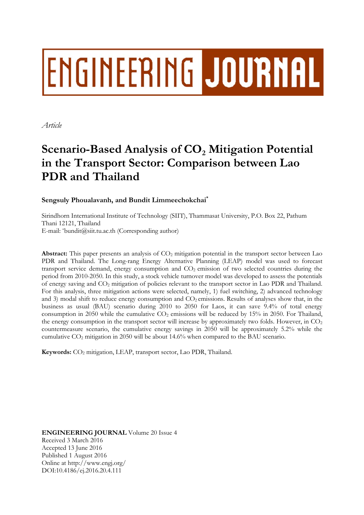# ENGINEERING JOURNAL

*Article* 

# **Scenario-Based Analysis of CO<sub>2</sub> Mitigation Potential in the Transport Sector: Comparison between Lao PDR and Thailand**

### **Sengsuly Phoualavanh, and Bundit Limmeechokchai\***

Sirindhorn International Institute of Technology (SIIT), Thammasat University, P.O. Box 22, Pathum Thani 12121, Thailand E-mail: \*bundit@siit.tu.ac.th (Corresponding author)

**Abstract:** This paper presents an analysis of CO<sub>2</sub> mitigation potential in the transport sector between Lao PDR and Thailand. The Long-rang Energy Alternative Planning (LEAP) model was used to forecast transport service demand, energy consumption and CO<sub>2</sub> emission of two selected countries during the period from 2010-2050. In this study, a stock vehicle turnover model was developed to assess the potentials of energy saving and CO2 mitigation of policies relevant to the transport sector in Lao PDR and Thailand. For this analysis, three mitigation actions were selected, namely, 1) fuel switching, 2) advanced technology and 3) modal shift to reduce energy consumption and  $CO<sub>2</sub>$  emissions. Results of analyses show that, in the business as usual (BAU) scenario during 2010 to 2050 for Laos, it can save 9.4% of total energy consumption in 2050 while the cumulative  $CO<sub>2</sub>$  emissions will be reduced by 15% in 2050. For Thailand, the energy consumption in the transport sector will increase by approximately two folds. However, in  $CO<sub>2</sub>$ countermeasure scenario, the cumulative energy savings in 2050 will be approximately 5.2% while the cumulative CO2 mitigation in 2050 will be about 14.6% when compared to the BAU scenario.

Keywords: CO<sub>2</sub> mitigation, LEAP, transport sector, Lao PDR, Thailand.

**ENGINEERING JOURNAL** Volume 20 Issue 4 Received 3 March 2016 Accepted 13 June 2016 Published 1 August 2016 Online at http://www.engj.org/ DOI:10.4186/ej.2016.20.4.111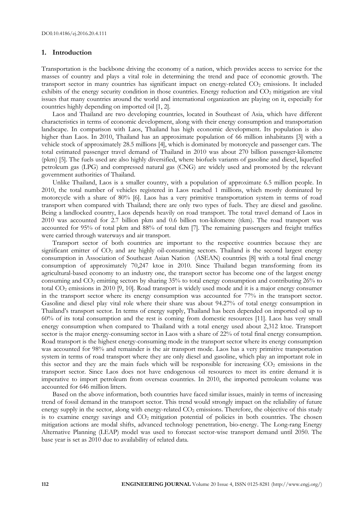#### **1. Introduction**

Transportation is the backbone driving the economy of a nation, which provides access to service for the masses of country and plays a vital role in determining the trend and pace of economic growth. The transport sector in many countries has significant impact on energy-related CO<sub>2</sub> emissions. It included exhibits of the energy security condition in those countries. Energy reduction and  $CO<sub>2</sub>$  mitigation are vital issues that many countries around the world and international organization are playing on it, especially for countries highly depending on imported oil [1, 2].

Laos and Thailand are two developing countries, located in Southeast of Asia, which have different characteristics in terms of economic development, along with their energy consumption and transportation landscape. In comparison with Laos, Thailand has high economic development. Its population is also higher than Laos. In 2010, Thailand has an approximate population of 66 million inhabitants [3] with a vehicle stock of approximately 28.5 millions [4], which is dominated by motorcycle and passenger cars. The total estimated passenger travel demand of Thailand in 2010 was about 270 billion passenger-kilometre (pkm) [5]. The fuels used are also highly diversified, where biofuels variants of gasoline and diesel, liquefied petroleum gas (LPG) and compressed natural gas (CNG) are widely used and promoted by the relevant government authorities of Thailand.

Unlike Thailand, Laos is a smaller country, with a population of approximate 6.5 million people. In 2010, the total number of vehicles registered in Laos reached 1 millions, which mostly dominated by motorcycle with a share of 80% [6]. Laos has a very primitive transportation system in terms of road transport when compared with Thailand; there are only two types of fuels. They are diesel and gasoline. Being a landlocked country, Laos depends heavily on road transport. The total travel demand of Laos in 2010 was accounted for 2.7 billion pkm and 0.6 billion ton-kilometre (tkm). The road transport was accounted for 95% of total pkm and 88% of total tkm [7]. The remaining passengers and freight traffics were carried through waterways and air transport.

Transport sector of both countries are important to the respective countries because they are significant emitter of CO<sub>2</sub> and are highly oil-consuming sectors. Thailand is the second largest energy consumption in Association of Southeast Asian Nation (ASEAN) countries [8] with a total final energy consumption of approximately 70,247 ktoe in 2010. Since Thailand began transforming from its agricultural-based economy to an industry one, the transport sector has become one of the largest energy consuming and  $CO<sub>2</sub>$  emitting sectors by sharing 35% to total energy consumption and contributing 26% to total CO2 emissions in 2010 [9, 10]. Road transport is widely used mode and it is a major energy consumer in the transport sector where its energy consumption was accounted for 77% in the transport sector. Gasoline and diesel play vital role where their share was about 94.27% of total energy consumption in Thailand's transport sector. In terms of energy supply, Thailand has been depended on imported oil up to 60% of its total consumption and the rest is coming from domestic resources [11]. Laos has very small energy consumption when compared to Thailand with a total energy used about 2,312 ktoe. Transport sector is the major energy-consuming sector in Laos with a share of 22% of total final energy consumption. Road transport is the highest energy-consuming mode in the transport sector where its energy consumption was accounted for 98% and remainder is the air transport mode. Laos has a very primitive transportation system in terms of road transport where they are only diesel and gasoline, which play an important role in this sector and they are the main fuels which will be responsible for increasing CO<sub>2</sub> emissions in the transport sector. Since Laos does not have endogenous oil resources to meet its entire demand it is imperative to import petroleum from overseas countries. In 2010, the imported petroleum volume was accounted for 646 million litters.

Based on the above information, both countries have faced similar issues, mainly in terms of increasing trend of fossil demand in the transport sector. This trend would strongly impact on the reliability of future energy supply in the sector, along with energy-related CO<sub>2</sub> emissions. Therefore, the objective of this study is to examine energy savings and  $CO<sub>2</sub>$  mitigation potential of policies in both countries. The chosen mitigation actions are modal shifts, advanced technology penetration, bio-energy. The Long-rang Energy Alternative Planning (LEAP) model was used to forecast sector-wise transport demand until 2050. The base year is set as 2010 due to availability of related data.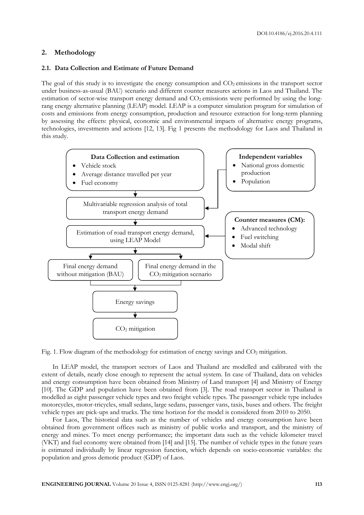#### **2. Methodology**

#### **2.1. Data Collection and Estimate of Future Demand**

The goal of this study is to investigate the energy consumption and  $CO<sub>2</sub>$  emissions in the transport sector under business-as-usual (BAU) scenario and different counter measures actions in Laos and Thailand. The estimation of sector-wise transport energy demand and  $CO<sub>2</sub>$  emissions were performed by using the longrang energy alternative planning (LEAP) model. LEAP is a computer simulation program for simulation of costs and emissions from energy consumption, production and resource extraction for long-term planning by assessing the effects: physical, economic and environmental impacts of alternative energy programs, technologies, investments and actions [12, 13]. Fig 1 presents the methodology for Laos and Thailand in this study.



Fig. 1. Flow diagram of the methodology for estimation of energy savings and  $CO<sub>2</sub>$  mitigation.

In LEAP model, the transport sectors of Laos and Thailand are modelled and calibrated with the extent of details, nearly close enough to represent the actual system. In case of Thailand, data on vehicles and energy consumption have been obtained from Ministry of Land transport [4] and Ministry of Energy [10]. The GDP and population have been obtained from [3]. The road transport sector in Thailand is modelled as eight passenger vehicle types and two freight vehicle types. The passenger vehicle type includes motorcycles, motor-tricycles, small sedans, large sedans, passenger vans, taxis, buses and others. The freight vehicle types are pick-ups and trucks. The time horizon for the model is considered from 2010 to 2050.

For Laos, The historical data such as the number of vehicles and energy consumption have been obtained from government offices such as ministry of public works and transport, and the ministry of energy and mines. To meet energy performance; the important data such as the vehicle kilometer travel (VKT) and fuel economy were obtained from [14] and [15]. The number of vehicle types in the future years is estimated individually by linear regression function, which depends on socio-economic variables: the population and gross demotic product (GDP) of Laos.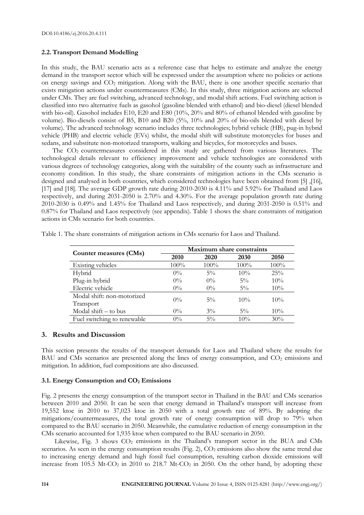#### **2.2. Transport Demand Modelling**

In this study, the BAU scenario acts as a reference case that helps to estimate and analyze the energy demand in the transport sector which will be expressed under the assumption where no policies or actions on energy savings and CO<sub>2</sub> mitigation. Along with the BAU, there is one another specific scenario that exists mitigation actions under countermeasures (CMs). In this study, three mitigation actions are selected under CMs. They are fuel switching, advanced technology, and modal shift actions. Fuel switching action is classified into two alternative fuels as gasohol (gasoline blended with ethanol) and bio-diesel (diesel blended with bio-oil). Gasohol includes E10, E20 and E80 (10%, 20% and 80% of ethanol blended with gasoline by volume). Bio-diesels consist of B5, B10 and B20 (5%, 10% and 20% of bio-oils blended with diesel by volume). The advanced technology scenario includes three technologies; hybrid vehicle (HB), pug-in hybrid vehicle (PHB) and electric vehicle (EVs) whilst, the modal shift will substitute motorcycles for buses and sedans, and substitute non-motorized transports, walking and bicycles, for motorcycles and buses.

The CO2 countermeasures considered in this study are gathered from various literatures. The technological details relevant to efficiency improvement and vehicle technologies are considered with various degrees of technology categories, along with the suitability of the county such as infrastructure and economy condition. In this study, the share constraints of mitigation actions in the CMs scenario is designed and analysed in both countries, which considered technologies have been obtained from [5] ,[16], [17] and [18]. The average GDP growth rate during 2010-2030 is 4.11% and 5.92% for Thailand and Laos respectively, and during 2031-2050 is 2.70% and 4.30%. For the average population growth rate during 2010-2030 is 0.49% and 1.45% for Thailand and Laos respectively, and during 2031-2050 is 0.51% and 0.87% for Thailand and Laos respectively (see appendix). Table 1 shows the share constraints of mitigation actions in CMs scenario for both countries.

|                             | Maximum share constraints |         |        |        |
|-----------------------------|---------------------------|---------|--------|--------|
| Counter measures (CMs)      | 2010                      | 2020    | 2030   | 2050   |
| Existing vehicles           | $100\%$                   | $100\%$ | 100%   | 100%   |
| Hybrid                      | $0\%$                     | $5\%$   | 10%    | 25%    |
| Plug-in hybrid              | $0\%$                     | $0\%$   | $5\%$  | $10\%$ |
| Electric vehicle            | $0\%$                     | $0\%$   | $5\%$  | 10%    |
| Modal shift: non-motorized  | $0\%$                     | $5\%$   | $10\%$ | 10%    |
| Transport                   |                           |         |        |        |
| Modal shift $-$ to bus      | $0\%$                     | $3\%$   | $5\%$  | $10\%$ |
| Fuel switching to renewable | $0\%$                     | $5\%$   | 10%    | 30%    |

Table 1. The share constraints of mitigation actions in CMs scenario for Laos and Thailand.

#### **3. Results and Discussion**

This section presents the results of the transport demands for Laos and Thailand where the results for BAU and CMs scenarios are presented along the lines of energy consumption, and  $CO<sub>2</sub>$  emissions and mitigation. In addition, fuel compositions are also discussed.

#### **3.1. Energy Consumption and CO2 Emissions**

Fig. 2 presents the energy consumption of the transport sector in Thailand in the BAU and CMs scenarios between 2010 and 2050. It can be seen that energy demand in Thailand's transport will increase from 19,552 ktoe in 2010 to 37,023 ktoe in 2050 with a total growth rate of 89%. By adopting the mitigations/countermeasures, the total growth rate of energy consumption will drop to 79% when compared to the BAU scenario in 2050. Meanwhile, the cumulative reduction of energy consumption in the CMs scenario accounted for 1,935 ktoe when compared to the BAU scenario in 2050.

Likewise, Fig. 3 shows  $CO<sub>2</sub>$  emissions in the Thailand's transport sector in the BUA and CMs scenarios. As seen in the energy consumption results (Fig. 2), CO<sub>2</sub> emissions also show the same trend due to increasing energy demand and high fossil fuel consumption, resulting carbon dioxide emissions will increase from 105.5 Mt-CO<sub>2</sub> in 2010 to 218.7 Mt-CO<sub>2</sub> in 2050. On the other hand, by adopting these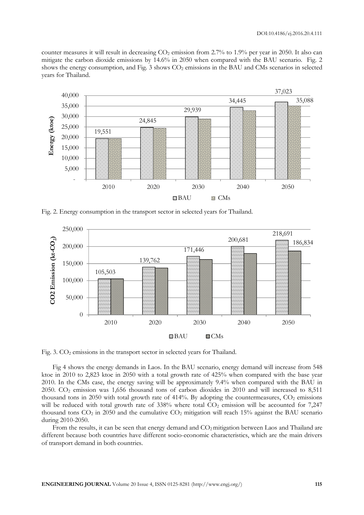counter measures it will result in decreasing  $CO<sub>2</sub>$  emission from 2.7% to 1.9% per year in 2050. It also can mitigate the carbon dioxide emissions by 14.6% in 2050 when compared with the BAU scenario. Fig. 2 shows the energy consumption, and Fig. 3 shows CO<sub>2</sub> emissions in the BAU and CMs scenarios in selected years for Thailand.



Fig. 2. Energy consumption in the transport sector in selected years for Thailand.



Fig. 3. CO<sub>2</sub> emissions in the transport sector in selected years for Thailand.

Fig 4 shows the energy demands in Laos. In the BAU scenario, energy demand will increase from 548 ktoe in 2010 to 2,823 ktoe in 2050 with a total growth rate of 425% when compared with the base year 2010. In the CMs case, the energy saving will be approximately 9.4% when compared with the BAU in 2050. CO2 emission was 1,656 thousand tons of carbon dioxides in 2010 and will increased to 8,511 thousand tons in 2050 with total growth rate of 414%. By adopting the countermeasures,  $CO<sub>2</sub>$  emissions will be reduced with total growth rate of  $338\%$  where total  $CO<sub>2</sub>$  emission will be accounted for  $7.247$ thousand tons CO<sub>2</sub> in 2050 and the cumulative CO<sub>2</sub> mitigation will reach 15% against the BAU scenario during 2010-2050.

From the results, it can be seen that energy demand and  $CO<sub>2</sub>$  mitigation between Laos and Thailand are different because both countries have different socio-economic characteristics, which are the main drivers of transport demand in both countries.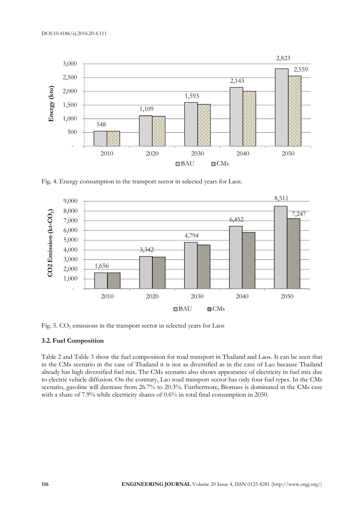

Fig. 4. Energy consumption in the transport sector in selected years for Laos.



Fig. 5. CO<sub>2</sub> emissions in the transport sector in selected years for Laos

#### **3.2. Fuel Composition**

Table 2 and Table 3 show the fuel composition for road transport in Thailand and Laos. It can be seen that in the CMs scenario in the case of Thailand it is not as diversified as in the case of Lao because Thailand already has high diversified fuel mix. The CMs scenario also shows appearance of electricity in fuel mix due to electric vehicle diffusion. On the contrary, Lao road transport sector has only four fuel types. In the CMs scenario, gasoline will decrease from 26.7% to 20.3%. Furthermore, Biomass is dominated in the CMs case with a share of 7.9% while electricity shares of 0.6% in total final consumption in 2050.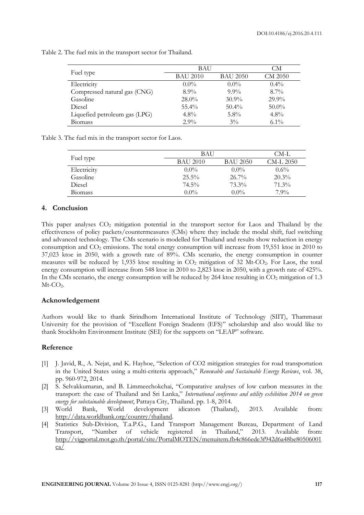Table 2. The fuel mix in the transport sector for Thailand.

|                               | BAU             |                 | CМ             |
|-------------------------------|-----------------|-----------------|----------------|
| Fuel type                     | <b>BAU 2010</b> | <b>BAU 2050</b> | <b>CM 2050</b> |
| Electricity                   | $0.0\%$         | $0.0\%$         | $0.4\%$        |
| Compressed natural gas (CNG)  | $8.9\%$         | $9.9\%$         | $8.7\%$        |
| Gasoline                      | $28.0\%$        | $30.9\%$        | $29.9\%$       |
| Diesel                        | $55.4\%$        | $50.4\%$        | $50.0\%$       |
| Liquefied petroleum gas (LPG) | $4.8\%$         | $5.8\%$         | $4.8\%$        |
| <b>Biomass</b>                | $2.9\%$         | $3\%$           | $6.1\%$        |

Table 3. The fuel mix in the transport sector for Laos.

|                | <b>BAU</b> | CM-L     |           |
|----------------|------------|----------|-----------|
| Fuel type      | BAU 2010   | BAU 2050 | CM-L 2050 |
| Electricity    | $0.0\%$    | $0.0\%$  | $0.6\%$   |
| Gasoline       | $25.5\%$   | $26.7\%$ | $20.3\%$  |
| Diesel         | 74.5%      | $73.3\%$ | $71.3\%$  |
| <b>Biomass</b> | $0.0\%$    | $0.0\%$  | $7.9\%$   |

#### **4. Conclusion**

This paper analyses  $CO<sub>2</sub>$  mitigation potential in the transport sector for Laos and Thailand by the effectiveness of policy packets/countermeasures (CMs) where they include the modal shift, fuel switching and advanced technology. The CMs scenario is modelled for Thailand and results show reduction in energy consumption and  $CO<sub>2</sub>$  emissions. The total energy consumption will increase from 19,551 ktoe in 2010 to 37,023 ktoe in 2050, with a growth rate of 89%. CMs scenario, the energy consumption in counter measures will be reduced by 1,935 ktoe resulting in  $CO<sub>2</sub>$  mitigation of 32 Mt-CO<sub>2</sub>. For Laos, the total energy consumption will increase from 548 ktoe in 2010 to 2,823 ktoe in 2050, with a growth rate of 425%. In the CMs scenario, the energy consumption will be reduced by 264 ktoe resulting in  $CO<sub>2</sub>$  mitigation of 1.3 Mt-CO2.

#### **Acknowledgement**

Authors would like to thank Sirindhorn International Institute of Technology (SIIT), Thammasat University for the provision of "Excellent Foreign Students (EFS)" scholarship and also would like to thank Stockholm Environment Institute (SEI) for the supports on "LEAP" software.

#### **Reference**

- [1] J. Javid, R., A. Nejat, and K. Hayhoe, "Selection of CO2 mitigation strategies for road transportation in the United States using a multi-criteria approach," *Renewable and Sustainable Energy Reviews*, vol. 38, pp. 960-972, 2014.
- [2] S. Selvakkumaran, and B. Limmeechokchai, "Comparative analyses of low carbon measures in the transport: the case of Thailand and Sri Lanka," *International conference and utility exhibition 2014 on green energy for substainable development*, Pattaya City, Thailand. pp. 1-8, 2014.
- [3] World Bank, World development idicators (Thailand), 2013. Available from: http://data.worldbank.org/country/thailand.
- [4] Statistics Sub-Division, T.a.P.G., Land Transport Management Bureau, Department of Land Transport, "Number of vehicle registered in Thailand," 2013. Available from: http://vigportal.mot.go.th/portal/site/PortalMOTEN/menuitem.fb4c866ede3f942d6a48be80506001 ca/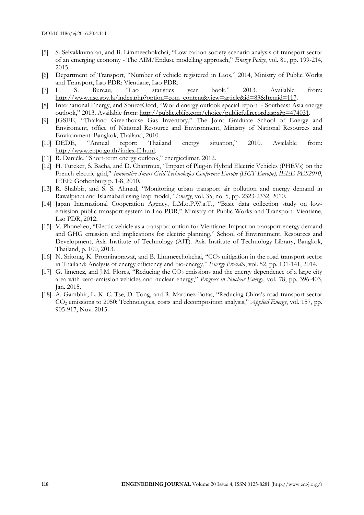- [5] S. Selvakkumaran, and B. Limmeechokchai, "Low carbon society scenario analysis of transport sector of an emerging economy - The AIM/Enduse modelling approach," *Energy Policy*, vol. 81, pp. 199-214, 2015.
- [6] Department of Transport, "Number of vehicle registered in Laos," 2014, Ministry of Public Works and Transport, Lao PDR: Vientiane, Lao PDR.
- [7] L. S. Bureau, "Lao statistics year book," 2013. Available from: http://www.nsc.gov.la/index.php?option=com\_content&view=article&id=83&Itemid=117.
- [8] International Energy, and SourceOecd, "World energy outlook special report Southeast Asia energy outlook," 2013. Available from: http://public.eblib.com/choice/publicfullrecord.aspx?p=474031.
- [9] JGSEE, "Thailand Greenhouse Gas Inventory," The Joint Graduate School of Energy and Enviroment, office of National Resource and Environment, Ministry of National Resources and Environment: Bangkok, Thailand, 2010.
- [10] DEDE, "Annual report: Thailand energy situation," 2010. Available from: http://www.eppo.go.th/index-E.html.
- [11] R. Danièle, "Short-term energy outlook," energieclimat, 2012.
- [12] H. Tureker, S. Bacha, and D. Chartroux, "Impact of Plug-in Hybrid Electric Vehicles (PHEVs) on the French electric grid," *Innovative Smart Grid Technologies Conference Europe (ISGT Europe), IEEE PES2010*, IEEE: Gothenburg p. 1-8, 2010.
- [13] R. Shabbir, and S. S. Ahmad, "Monitoring urban transport air pollution and energy demand in Rawalpindi and Islamabad using leap model," *Energy*, vol. 35, no. 5, pp. 2323-2332, 2010.
- [14] Japan International Cooperation Agency, L.M.o.P.W.a.T., "Basic data collection study on lowemission public transport system in Lao PDR," Ministry of Public Works and Transport: Vientiane, Lao PDR, 2012.
- [15] V. Phonekeo, "Electic vehicle as a transport option for Vientiane: Impact on transport energy demand and GHG emission and implications for electric planning," School of Environment, Resources and Development, Asia Institute of Technology (AIT). Asia Institute of Technology Library, Bangkok, Thailand, p. 100, 2013.
- [16] N. Sritong, K. Promjiraprawat, and B. Limmeechokchai, "CO2 mitigation in the road transport sector in Thailand: Analysis of energy efficiency and bio-energy," *Energy Procedia*, vol. 52, pp. 131-141, 2014.
- [17] G. Jimenez, and J.M. Flores, "Reducing the CO<sub>2</sub> emissions and the energy dependence of a large city area with zero-emission vehicles and nuclear energy," *Progress in Nuclear Energy*, vol. 78, pp. 396-403, Jan. 2015.
- [18] A. Gambhir, L. K. C. Tse, D. Tong, and R. Martinez-Botas, "Reducing China's road transport sector CO2 emissions to 2050: Technologies, costs and decomposition analysis," *Applied Energy*, vol. 157, pp. 905-917, Nov. 2015.